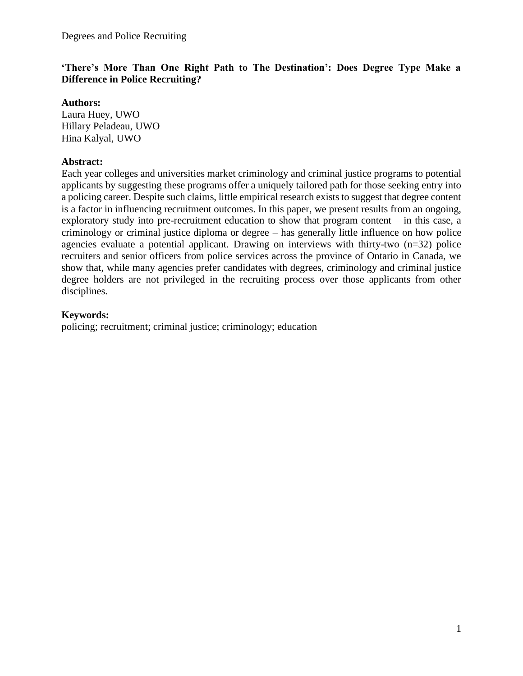# **'There's More Than One Right Path to The Destination': Does Degree Type Make a Difference in Police Recruiting?**

## **Authors:**

Laura Huey, UWO Hillary Peladeau, UWO Hina Kalyal, UWO

# **Abstract:**

Each year colleges and universities market criminology and criminal justice programs to potential applicants by suggesting these programs offer a uniquely tailored path for those seeking entry into a policing career. Despite such claims, little empirical research exists to suggest that degree content is a factor in influencing recruitment outcomes. In this paper, we present results from an ongoing, exploratory study into pre-recruitment education to show that program content – in this case, a criminology or criminal justice diploma or degree – has generally little influence on how police agencies evaluate a potential applicant. Drawing on interviews with thirty-two  $(n=32)$  police recruiters and senior officers from police services across the province of Ontario in Canada, we show that, while many agencies prefer candidates with degrees, criminology and criminal justice degree holders are not privileged in the recruiting process over those applicants from other disciplines.

# **Keywords:**

policing; recruitment; criminal justice; criminology; education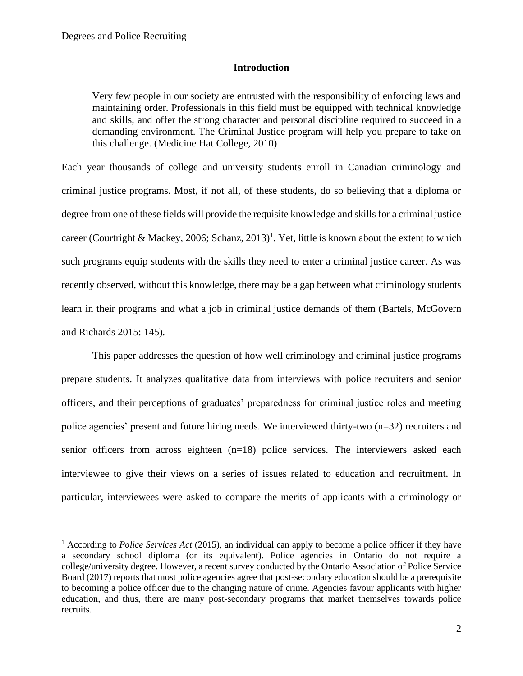#### **Introduction**

Very few people in our society are entrusted with the responsibility of enforcing laws and maintaining order. Professionals in this field must be equipped with technical knowledge and skills, and offer the strong character and personal discipline required to succeed in a demanding environment. The Criminal Justice program will help you prepare to take on this challenge. (Medicine Hat College, 2010)

Each year thousands of college and university students enroll in Canadian criminology and criminal justice programs. Most, if not all, of these students, do so believing that a diploma or degree from one of these fields will provide the requisite knowledge and skills for a criminal justice career (Courtright & Mackey, 2006; Schanz, 2013)<sup>1</sup>. Yet, little is known about the extent to which such programs equip students with the skills they need to enter a criminal justice career. As was recently observed, without this knowledge, there may be a gap between what criminology students learn in their programs and what a job in criminal justice demands of them (Bartels, McGovern and Richards 2015: 145).

This paper addresses the question of how well criminology and criminal justice programs prepare students. It analyzes qualitative data from interviews with police recruiters and senior officers, and their perceptions of graduates' preparedness for criminal justice roles and meeting police agencies' present and future hiring needs. We interviewed thirty-two (n=32) recruiters and senior officers from across eighteen (n=18) police services. The interviewers asked each interviewee to give their views on a series of issues related to education and recruitment. In particular, interviewees were asked to compare the merits of applicants with a criminology or

<sup>1</sup> According to *Police Services Act* (2015), an individual can apply to become a police officer if they have a secondary school diploma (or its equivalent). Police agencies in Ontario do not require a college/university degree. However, a recent survey conducted by the Ontario Association of Police Service Board (2017) reports that most police agencies agree that post-secondary education should be a prerequisite to becoming a police officer due to the changing nature of crime. Agencies favour applicants with higher education, and thus, there are many post-secondary programs that market themselves towards police recruits.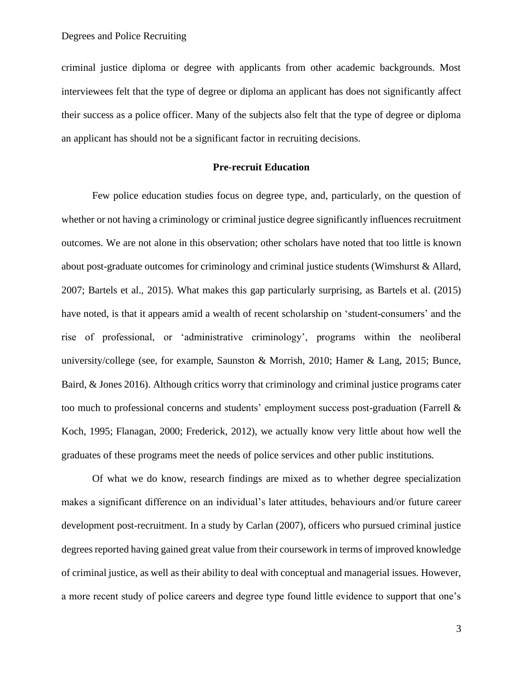criminal justice diploma or degree with applicants from other academic backgrounds. Most interviewees felt that the type of degree or diploma an applicant has does not significantly affect their success as a police officer. Many of the subjects also felt that the type of degree or diploma an applicant has should not be a significant factor in recruiting decisions.

#### **Pre-recruit Education**

Few police education studies focus on degree type, and, particularly, on the question of whether or not having a criminology or criminal justice degree significantly influences recruitment outcomes. We are not alone in this observation; other scholars have noted that too little is known about post-graduate outcomes for criminology and criminal justice students (Wimshurst & Allard, 2007; Bartels et al., 2015). What makes this gap particularly surprising, as Bartels et al. (2015) have noted, is that it appears amid a wealth of recent scholarship on 'student-consumers' and the rise of professional, or 'administrative criminology', programs within the neoliberal university/college (see, for example, Saunston & Morrish, 2010; Hamer & Lang, 2015; Bunce, Baird, & Jones 2016). Although critics worry that criminology and criminal justice programs cater too much to professional concerns and students' employment success post-graduation (Farrell & Koch, 1995; Flanagan, 2000; Frederick, 2012), we actually know very little about how well the graduates of these programs meet the needs of police services and other public institutions.

Of what we do know, research findings are mixed as to whether degree specialization makes a significant difference on an individual's later attitudes, behaviours and/or future career development post-recruitment. In a study by Carlan (2007), officers who pursued criminal justice degrees reported having gained great value from their coursework in terms of improved knowledge of criminal justice, as well as their ability to deal with conceptual and managerial issues. However, a more recent study of police careers and degree type found little evidence to support that one's

3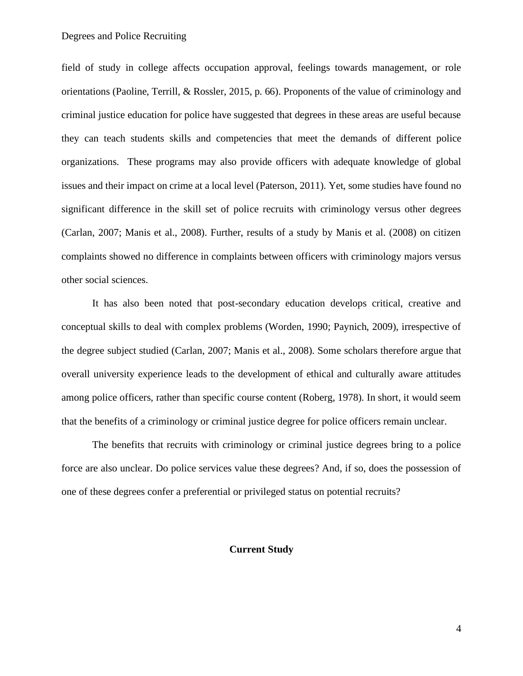field of study in college affects occupation approval, feelings towards management, or role orientations (Paoline, Terrill, & Rossler, 2015, p. 66). Proponents of the value of criminology and criminal justice education for police have suggested that degrees in these areas are useful because they can teach students skills and competencies that meet the demands of different police organizations. These programs may also provide officers with adequate knowledge of global issues and their impact on crime at a local level (Paterson, 2011). Yet, some studies have found no significant difference in the skill set of police recruits with criminology versus other degrees (Carlan, 2007; Manis et al., 2008). Further, results of a study by Manis et al. (2008) on citizen complaints showed no difference in complaints between officers with criminology majors versus other social sciences.

It has also been noted that post-secondary education develops critical, creative and conceptual skills to deal with complex problems (Worden, 1990; Paynich, 2009), irrespective of the degree subject studied (Carlan, 2007; Manis et al., 2008). Some scholars therefore argue that overall university experience leads to the development of ethical and culturally aware attitudes among police officers, rather than specific course content (Roberg, 1978). In short, it would seem that the benefits of a criminology or criminal justice degree for police officers remain unclear.

The benefits that recruits with criminology or criminal justice degrees bring to a police force are also unclear. Do police services value these degrees? And, if so, does the possession of one of these degrees confer a preferential or privileged status on potential recruits?

## **Current Study**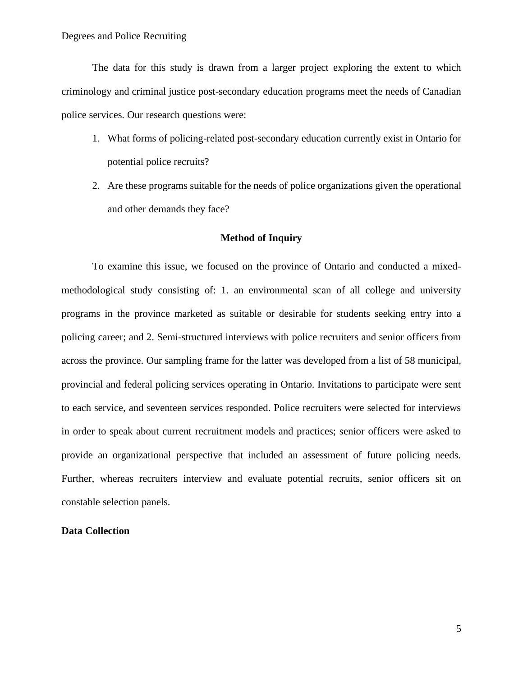The data for this study is drawn from a larger project exploring the extent to which criminology and criminal justice post-secondary education programs meet the needs of Canadian police services. Our research questions were:

- 1. What forms of policing-related post-secondary education currently exist in Ontario for potential police recruits?
- 2. Are these programs suitable for the needs of police organizations given the operational and other demands they face?

#### **Method of Inquiry**

To examine this issue, we focused on the province of Ontario and conducted a mixedmethodological study consisting of: 1. an environmental scan of all college and university programs in the province marketed as suitable or desirable for students seeking entry into a policing career; and 2. Semi-structured interviews with police recruiters and senior officers from across the province. Our sampling frame for the latter was developed from a list of 58 municipal, provincial and federal policing services operating in Ontario. Invitations to participate were sent to each service, and seventeen services responded. Police recruiters were selected for interviews in order to speak about current recruitment models and practices; senior officers were asked to provide an organizational perspective that included an assessment of future policing needs. Further, whereas recruiters interview and evaluate potential recruits, senior officers sit on constable selection panels.

## **Data Collection**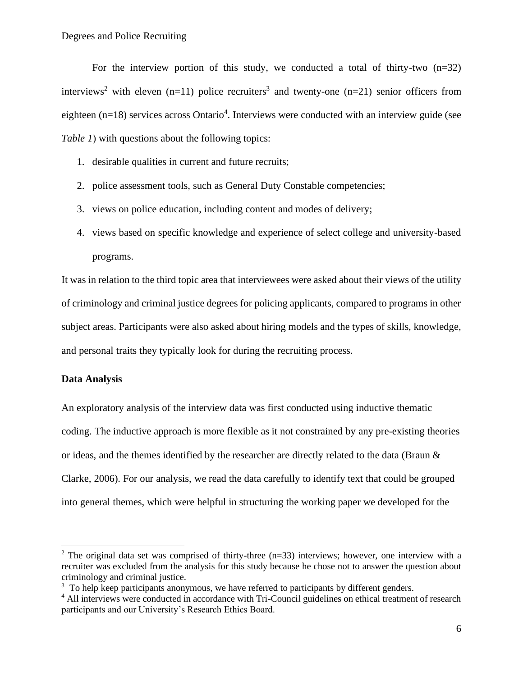For the interview portion of this study, we conducted a total of thirty-two  $(n=32)$ interviews<sup>2</sup> with eleven (n=11) police recruiters<sup>3</sup> and twenty-one (n=21) senior officers from eighteen  $(n=18)$  services across Ontario<sup>4</sup>. Interviews were conducted with an interview guide (see *Table 1*) with questions about the following topics:

- 1. desirable qualities in current and future recruits;
- 2. police assessment tools, such as General Duty Constable competencies;
- 3. views on police education, including content and modes of delivery;
- 4. views based on specific knowledge and experience of select college and university-based programs.

It was in relation to the third topic area that interviewees were asked about their views of the utility of criminology and criminal justice degrees for policing applicants, compared to programs in other subject areas. Participants were also asked about hiring models and the types of skills, knowledge, and personal traits they typically look for during the recruiting process.

#### **Data Analysis**

An exploratory analysis of the interview data was first conducted using inductive thematic coding. The inductive approach is more flexible as it not constrained by any pre-existing theories or ideas, and the themes identified by the researcher are directly related to the data (Braun & Clarke, 2006). For our analysis, we read the data carefully to identify text that could be grouped into general themes, which were helpful in structuring the working paper we developed for the

 $2$  The original data set was comprised of thirty-three (n=33) interviews; however, one interview with a recruiter was excluded from the analysis for this study because he chose not to answer the question about criminology and criminal justice.**.**

 $3\text{ To}$  help keep participants anonymous, we have referred to participants by different genders.

<sup>&</sup>lt;sup>4</sup> All interviews were conducted in accordance with Tri-Council guidelines on ethical treatment of research participants and our University's Research Ethics Board.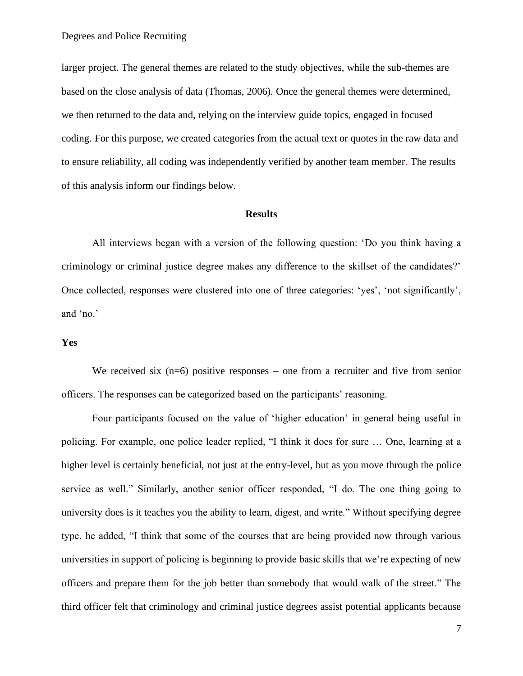larger project. The general themes are related to the study objectives, while the sub-themes are based on the close analysis of data (Thomas, 2006). Once the general themes were determined, we then returned to the data and, relying on the interview guide topics, engaged in focused coding. For this purpose, we created categories from the actual text or quotes in the raw data and to ensure reliability, all coding was independently verified by another team member. The results of this analysis inform our findings below.

#### **Results**

All interviews began with a version of the following question: 'Do you think having a criminology or criminal justice degree makes any difference to the skillset of the candidates?' Once collected, responses were clustered into one of three categories: 'yes', 'not significantly', and 'no.'

#### **Yes**

We received six  $(n=6)$  positive responses – one from a recruiter and five from senior officers. The responses can be categorized based on the participants' reasoning.

Four participants focused on the value of 'higher education' in general being useful in policing. For example, one police leader replied, "I think it does for sure … One, learning at a higher level is certainly beneficial, not just at the entry-level, but as you move through the police service as well." Similarly, another senior officer responded, "I do. The one thing going to university does is it teaches you the ability to learn, digest, and write." Without specifying degree type, he added, "I think that some of the courses that are being provided now through various universities in support of policing is beginning to provide basic skills that we're expecting of new officers and prepare them for the job better than somebody that would walk of the street." The third officer felt that criminology and criminal justice degrees assist potential applicants because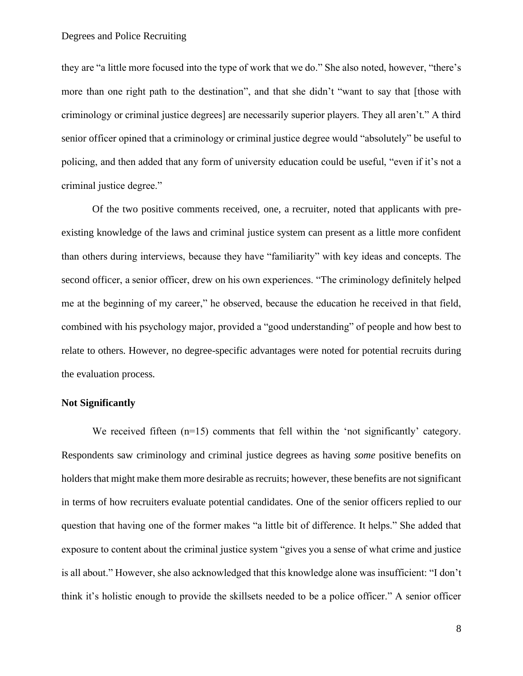they are "a little more focused into the type of work that we do." She also noted, however, "there's more than one right path to the destination", and that she didn't "want to say that [those with criminology or criminal justice degrees] are necessarily superior players. They all aren't." A third senior officer opined that a criminology or criminal justice degree would "absolutely" be useful to policing, and then added that any form of university education could be useful, "even if it's not a criminal justice degree."

Of the two positive comments received, one, a recruiter, noted that applicants with preexisting knowledge of the laws and criminal justice system can present as a little more confident than others during interviews, because they have "familiarity" with key ideas and concepts. The second officer, a senior officer, drew on his own experiences. "The criminology definitely helped me at the beginning of my career," he observed, because the education he received in that field, combined with his psychology major, provided a "good understanding" of people and how best to relate to others. However, no degree-specific advantages were noted for potential recruits during the evaluation process.

#### **Not Significantly**

We received fifteen (n=15) comments that fell within the 'not significantly' category. Respondents saw criminology and criminal justice degrees as having *some* positive benefits on holders that might make them more desirable as recruits; however, these benefits are not significant in terms of how recruiters evaluate potential candidates. One of the senior officers replied to our question that having one of the former makes "a little bit of difference. It helps." She added that exposure to content about the criminal justice system "gives you a sense of what crime and justice is all about." However, she also acknowledged that this knowledge alone was insufficient: "I don't think it's holistic enough to provide the skillsets needed to be a police officer." A senior officer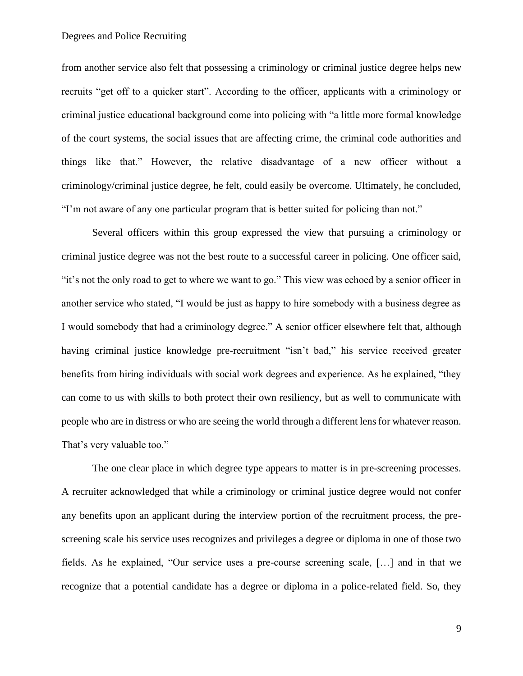from another service also felt that possessing a criminology or criminal justice degree helps new recruits "get off to a quicker start". According to the officer, applicants with a criminology or criminal justice educational background come into policing with "a little more formal knowledge of the court systems, the social issues that are affecting crime, the criminal code authorities and things like that." However, the relative disadvantage of a new officer without a criminology/criminal justice degree, he felt, could easily be overcome. Ultimately, he concluded, "I'm not aware of any one particular program that is better suited for policing than not."

Several officers within this group expressed the view that pursuing a criminology or criminal justice degree was not the best route to a successful career in policing. One officer said, "it's not the only road to get to where we want to go." This view was echoed by a senior officer in another service who stated, "I would be just as happy to hire somebody with a business degree as I would somebody that had a criminology degree." A senior officer elsewhere felt that, although having criminal justice knowledge pre-recruitment "isn't bad," his service received greater benefits from hiring individuals with social work degrees and experience. As he explained, "they can come to us with skills to both protect their own resiliency, but as well to communicate with people who are in distress or who are seeing the world through a different lens for whatever reason. That's very valuable too."

The one clear place in which degree type appears to matter is in pre-screening processes. A recruiter acknowledged that while a criminology or criminal justice degree would not confer any benefits upon an applicant during the interview portion of the recruitment process, the prescreening scale his service uses recognizes and privileges a degree or diploma in one of those two fields. As he explained, "Our service uses a pre-course screening scale, […] and in that we recognize that a potential candidate has a degree or diploma in a police-related field. So, they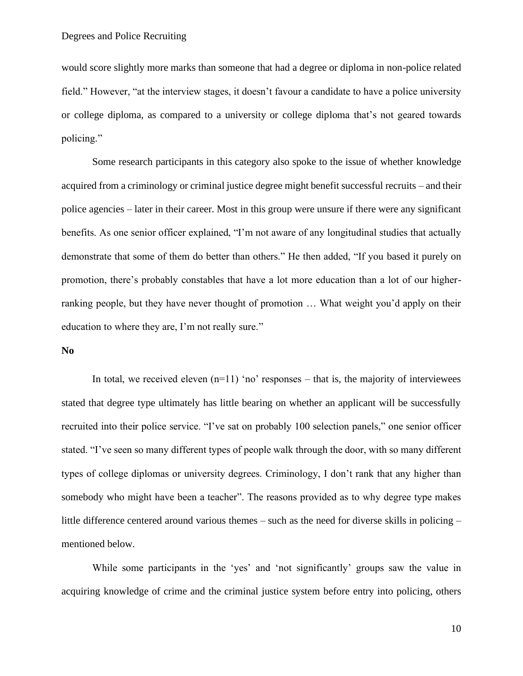would score slightly more marks than someone that had a degree or diploma in non-police related field." However, "at the interview stages, it doesn't favour a candidate to have a police university or college diploma, as compared to a university or college diploma that's not geared towards policing."

Some research participants in this category also spoke to the issue of whether knowledge acquired from a criminology or criminal justice degree might benefit successful recruits – and their police agencies – later in their career. Most in this group were unsure if there were any significant benefits. As one senior officer explained, "I'm not aware of any longitudinal studies that actually demonstrate that some of them do better than others." He then added, "If you based it purely on promotion, there's probably constables that have a lot more education than a lot of our higherranking people, but they have never thought of promotion … What weight you'd apply on their education to where they are, I'm not really sure."

**No**

In total, we received eleven  $(n=11)$  'no' responses – that is, the majority of interviewees stated that degree type ultimately has little bearing on whether an applicant will be successfully recruited into their police service. "I've sat on probably 100 selection panels," one senior officer stated. "I've seen so many different types of people walk through the door, with so many different types of college diplomas or university degrees. Criminology, I don't rank that any higher than somebody who might have been a teacher". The reasons provided as to why degree type makes little difference centered around various themes – such as the need for diverse skills in policing – mentioned below.

While some participants in the 'yes' and 'not significantly' groups saw the value in acquiring knowledge of crime and the criminal justice system before entry into policing, others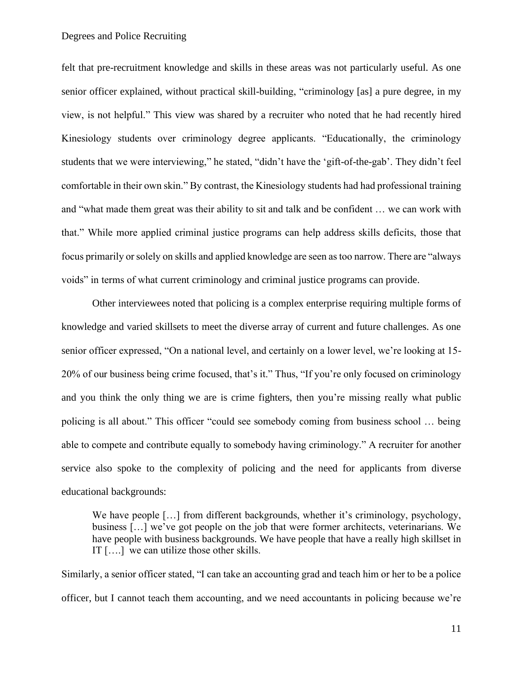felt that pre-recruitment knowledge and skills in these areas was not particularly useful. As one senior officer explained, without practical skill-building, "criminology [as] a pure degree, in my view, is not helpful." This view was shared by a recruiter who noted that he had recently hired Kinesiology students over criminology degree applicants. "Educationally, the criminology students that we were interviewing," he stated, "didn't have the 'gift-of-the-gab'. They didn't feel comfortable in their own skin." By contrast, the Kinesiology students had had professional training and "what made them great was their ability to sit and talk and be confident … we can work with that." While more applied criminal justice programs can help address skills deficits, those that focus primarily or solely on skills and applied knowledge are seen as too narrow. There are "always voids" in terms of what current criminology and criminal justice programs can provide.

Other interviewees noted that policing is a complex enterprise requiring multiple forms of knowledge and varied skillsets to meet the diverse array of current and future challenges. As one senior officer expressed, "On a national level, and certainly on a lower level, we're looking at 15- 20% of our business being crime focused, that's it." Thus, "If you're only focused on criminology and you think the only thing we are is crime fighters, then you're missing really what public policing is all about." This officer "could see somebody coming from business school … being able to compete and contribute equally to somebody having criminology." A recruiter for another service also spoke to the complexity of policing and the need for applicants from diverse educational backgrounds:

We have people [...] from different backgrounds, whether it's criminology, psychology, business […] we've got people on the job that were former architects, veterinarians. We have people with business backgrounds. We have people that have a really high skillset in IT [….] we can utilize those other skills.

Similarly, a senior officer stated, "I can take an accounting grad and teach him or her to be a police officer, but I cannot teach them accounting, and we need accountants in policing because we're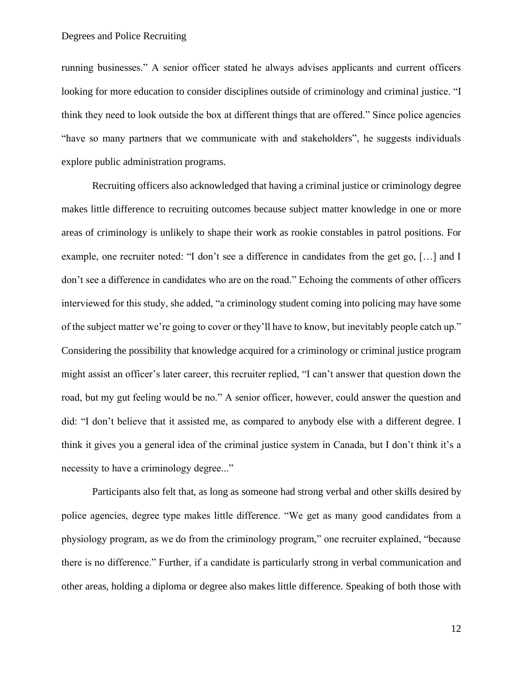running businesses." A senior officer stated he always advises applicants and current officers looking for more education to consider disciplines outside of criminology and criminal justice. "I think they need to look outside the box at different things that are offered." Since police agencies "have so many partners that we communicate with and stakeholders", he suggests individuals explore public administration programs.

Recruiting officers also acknowledged that having a criminal justice or criminology degree makes little difference to recruiting outcomes because subject matter knowledge in one or more areas of criminology is unlikely to shape their work as rookie constables in patrol positions. For example, one recruiter noted: "I don't see a difference in candidates from the get go, […] and I don't see a difference in candidates who are on the road." Echoing the comments of other officers interviewed for this study, she added, "a criminology student coming into policing may have some of the subject matter we're going to cover or they'll have to know, but inevitably people catch up." Considering the possibility that knowledge acquired for a criminology or criminal justice program might assist an officer's later career, this recruiter replied, "I can't answer that question down the road, but my gut feeling would be no." A senior officer, however, could answer the question and did: "I don't believe that it assisted me, as compared to anybody else with a different degree. I think it gives you a general idea of the criminal justice system in Canada, but I don't think it's a necessity to have a criminology degree..."

Participants also felt that, as long as someone had strong verbal and other skills desired by police agencies, degree type makes little difference. "We get as many good candidates from a physiology program, as we do from the criminology program," one recruiter explained, "because there is no difference." Further, if a candidate is particularly strong in verbal communication and other areas, holding a diploma or degree also makes little difference. Speaking of both those with

12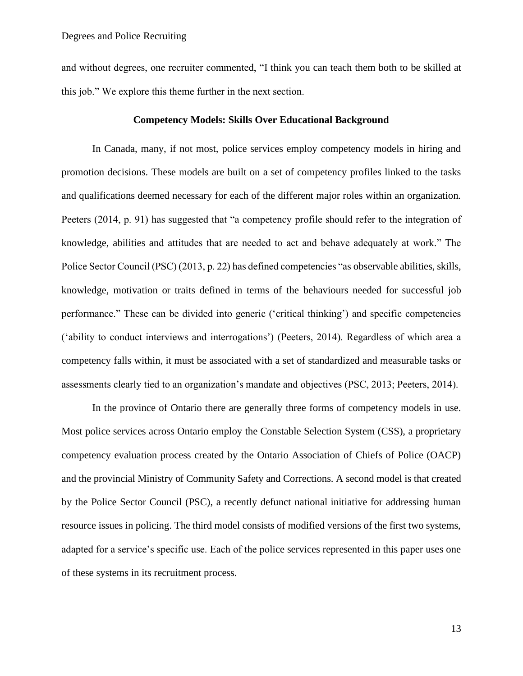and without degrees, one recruiter commented, "I think you can teach them both to be skilled at this job." We explore this theme further in the next section.

#### **Competency Models: Skills Over Educational Background**

In Canada, many, if not most, police services employ competency models in hiring and promotion decisions. These models are built on a set of competency profiles linked to the tasks and qualifications deemed necessary for each of the different major roles within an organization. Peeters (2014, p. 91) has suggested that "a competency profile should refer to the integration of knowledge, abilities and attitudes that are needed to act and behave adequately at work." The Police Sector Council (PSC) (2013, p. 22) has defined competencies "as observable abilities, skills, knowledge, motivation or traits defined in terms of the behaviours needed for successful job performance." These can be divided into generic ('critical thinking') and specific competencies ('ability to conduct interviews and interrogations') (Peeters, 2014). Regardless of which area a competency falls within, it must be associated with a set of standardized and measurable tasks or assessments clearly tied to an organization's mandate and objectives (PSC, 2013; Peeters, 2014).

In the province of Ontario there are generally three forms of competency models in use. Most police services across Ontario employ the Constable Selection System (CSS), a proprietary competency evaluation process created by the Ontario Association of Chiefs of Police (OACP) and the provincial Ministry of Community Safety and Corrections. A second model is that created by the Police Sector Council (PSC), a recently defunct national initiative for addressing human resource issues in policing. The third model consists of modified versions of the first two systems, adapted for a service's specific use. Each of the police services represented in this paper uses one of these systems in its recruitment process.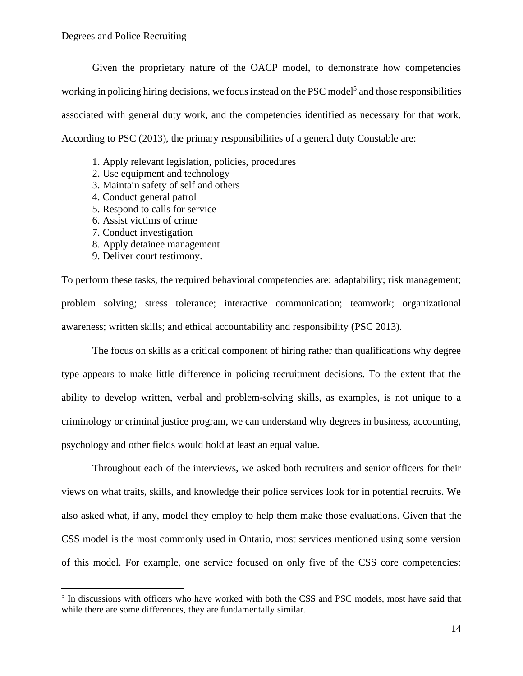Given the proprietary nature of the OACP model, to demonstrate how competencies working in policing hiring decisions, we focus instead on the PSC model<sup>5</sup> and those responsibilities associated with general duty work, and the competencies identified as necessary for that work. According to PSC (2013), the primary responsibilities of a general duty Constable are:

- 1. Apply relevant legislation, policies, procedures
- 2. Use equipment and technology
- 3. Maintain safety of self and others
- 4. Conduct general patrol
- 5. Respond to calls for service
- 6. Assist victims of crime
- 7. Conduct investigation
- 8. Apply detainee management
- 9. Deliver court testimony.

To perform these tasks, the required behavioral competencies are: adaptability; risk management; problem solving; stress tolerance; interactive communication; teamwork; organizational awareness; written skills; and ethical accountability and responsibility (PSC 2013).

The focus on skills as a critical component of hiring rather than qualifications why degree type appears to make little difference in policing recruitment decisions. To the extent that the ability to develop written, verbal and problem-solving skills, as examples, is not unique to a criminology or criminal justice program, we can understand why degrees in business, accounting, psychology and other fields would hold at least an equal value.

Throughout each of the interviews, we asked both recruiters and senior officers for their views on what traits, skills, and knowledge their police services look for in potential recruits. We also asked what, if any, model they employ to help them make those evaluations. Given that the CSS model is the most commonly used in Ontario, most services mentioned using some version of this model. For example, one service focused on only five of the CSS core competencies:

<sup>&</sup>lt;sup>5</sup> In discussions with officers who have worked with both the CSS and PSC models, most have said that while there are some differences, they are fundamentally similar.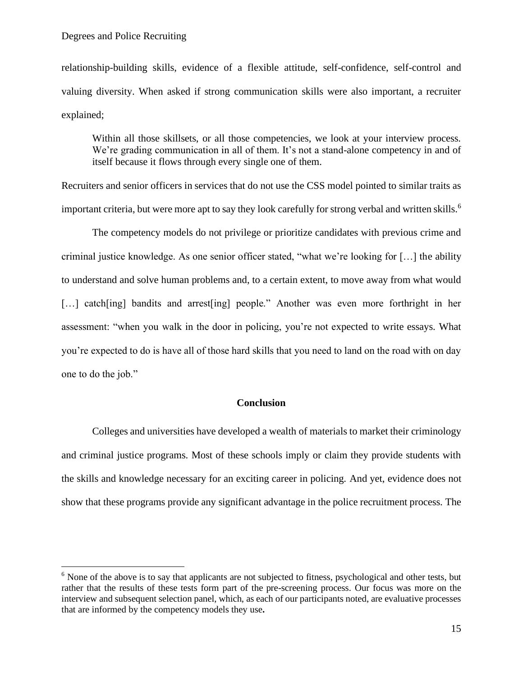relationship-building skills, evidence of a flexible attitude, self-confidence, self-control and valuing diversity. When asked if strong communication skills were also important, a recruiter explained;

Within all those skillsets, or all those competencies, we look at your interview process. We're grading communication in all of them. It's not a stand-alone competency in and of itself because it flows through every single one of them.

Recruiters and senior officers in services that do not use the CSS model pointed to similar traits as important criteria, but were more apt to say they look carefully for strong verbal and written skills.<sup>6</sup>

The competency models do not privilege or prioritize candidates with previous crime and criminal justice knowledge. As one senior officer stated, "what we're looking for […] the ability to understand and solve human problems and, to a certain extent, to move away from what would [...] catch[ing] bandits and arrest[ing] people." Another was even more forthright in her assessment: "when you walk in the door in policing, you're not expected to write essays. What you're expected to do is have all of those hard skills that you need to land on the road with on day one to do the job."

## **Conclusion**

Colleges and universities have developed a wealth of materials to market their criminology and criminal justice programs. Most of these schools imply or claim they provide students with the skills and knowledge necessary for an exciting career in policing. And yet, evidence does not show that these programs provide any significant advantage in the police recruitment process. The

<sup>&</sup>lt;sup>6</sup> None of the above is to say that applicants are not subjected to fitness, psychological and other tests, but rather that the results of these tests form part of the pre-screening process. Our focus was more on the interview and subsequent selection panel, which, as each of our participants noted, are evaluative processes that are informed by the competency models they use**.**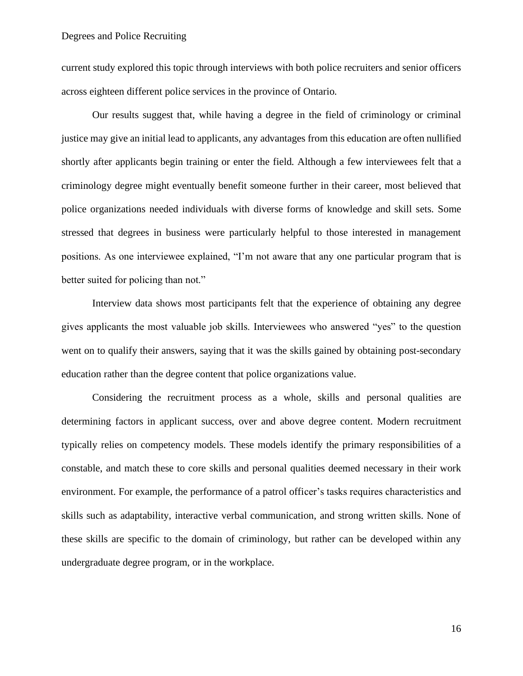current study explored this topic through interviews with both police recruiters and senior officers across eighteen different police services in the province of Ontario.

Our results suggest that, while having a degree in the field of criminology or criminal justice may give an initial lead to applicants, any advantages from this education are often nullified shortly after applicants begin training or enter the field. Although a few interviewees felt that a criminology degree might eventually benefit someone further in their career, most believed that police organizations needed individuals with diverse forms of knowledge and skill sets. Some stressed that degrees in business were particularly helpful to those interested in management positions. As one interviewee explained, "I'm not aware that any one particular program that is better suited for policing than not."

Interview data shows most participants felt that the experience of obtaining any degree gives applicants the most valuable job skills. Interviewees who answered "yes" to the question went on to qualify their answers, saying that it was the skills gained by obtaining post-secondary education rather than the degree content that police organizations value.

Considering the recruitment process as a whole, skills and personal qualities are determining factors in applicant success, over and above degree content. Modern recruitment typically relies on competency models. These models identify the primary responsibilities of a constable, and match these to core skills and personal qualities deemed necessary in their work environment. For example, the performance of a patrol officer's tasks requires characteristics and skills such as adaptability, interactive verbal communication, and strong written skills. None of these skills are specific to the domain of criminology, but rather can be developed within any undergraduate degree program, or in the workplace.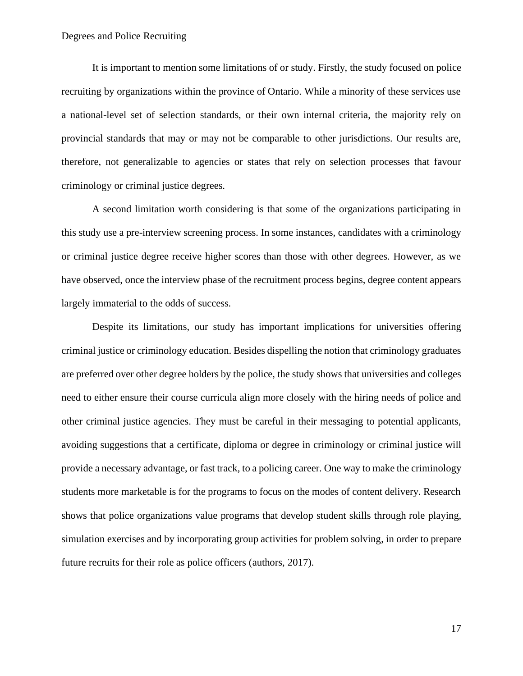It is important to mention some limitations of or study. Firstly, the study focused on police recruiting by organizations within the province of Ontario. While a minority of these services use a national-level set of selection standards, or their own internal criteria, the majority rely on provincial standards that may or may not be comparable to other jurisdictions. Our results are, therefore, not generalizable to agencies or states that rely on selection processes that favour criminology or criminal justice degrees.

A second limitation worth considering is that some of the organizations participating in this study use a pre-interview screening process. In some instances, candidates with a criminology or criminal justice degree receive higher scores than those with other degrees. However, as we have observed, once the interview phase of the recruitment process begins, degree content appears largely immaterial to the odds of success.

Despite its limitations, our study has important implications for universities offering criminal justice or criminology education. Besides dispelling the notion that criminology graduates are preferred over other degree holders by the police, the study shows that universities and colleges need to either ensure their course curricula align more closely with the hiring needs of police and other criminal justice agencies. They must be careful in their messaging to potential applicants, avoiding suggestions that a certificate, diploma or degree in criminology or criminal justice will provide a necessary advantage, or fast track, to a policing career. One way to make the criminology students more marketable is for the programs to focus on the modes of content delivery. Research shows that police organizations value programs that develop student skills through role playing, simulation exercises and by incorporating group activities for problem solving, in order to prepare future recruits for their role as police officers (authors, 2017).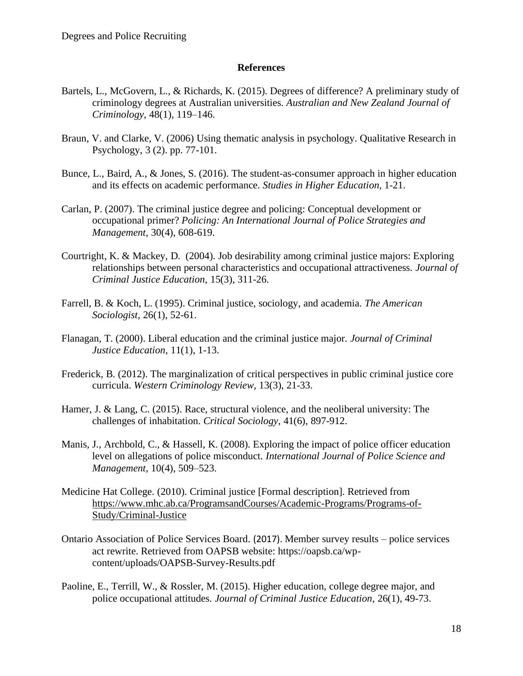## **References**

- Bartels, L., McGovern, L., & Richards, K. (2015). Degrees of difference? A preliminary study of criminology degrees at Australian universities. *Australian and New Zealand Journal of Criminology*, 48(1), 119–146.
- Braun, V. and Clarke, V. (2006) Using thematic analysis in psychology. Qualitative Research in Psychology, 3 (2). pp. 77-101.
- Bunce, L., Baird, A., & Jones, S. (2016). The student-as-consumer approach in higher education and its effects on academic performance. *Studies in Higher Education,* 1-21.
- Carlan, P. (2007). The criminal justice degree and policing: Conceptual development or occupational primer? *Policing: An International Journal of Police Strategies and Management*, 30(4), 608-619.
- Courtright, K. & Mackey, D. (2004). Job desirability among criminal justice majors: Exploring relationships between personal characteristics and occupational attractiveness. *Journal of Criminal Justice Education*, 15(3), 311-26.
- Farrell, B. & Koch, L. (1995). Criminal justice, sociology, and academia. *The American Sociologist*, 26(1), 52-61.
- Flanagan, T. (2000). Liberal education and the criminal justice major. *Journal of Criminal Justice Education*, 11(1), 1-13.
- Frederick, B. (2012). The marginalization of critical perspectives in public criminal justice core curricula. *Western Criminology Review*, 13(3), 21-33.
- Hamer, J. & Lang, C. (2015). Race, structural violence, and the neoliberal university: The challenges of inhabitation. *Critical Sociology*, 41(6), 897-912.
- Manis, J., Archbold, C., & Hassell, K. (2008). Exploring the impact of police officer education level on allegations of police misconduct. *International Journal of Police Science and Management*, 10(4), 509–523.
- Medicine Hat College. (2010). Criminal justice [Formal description]. Retrieved from [https://www.mhc.ab.ca/ProgramsandCourses/Academic-Programs/Programs-of-](https://www.mhc.ab.ca/ProgramsandCourses/Academic-Programs/Programs-of-Study/Criminal-Justice)[Study/Criminal-Justice](https://www.mhc.ab.ca/ProgramsandCourses/Academic-Programs/Programs-of-Study/Criminal-Justice)
- Ontario Association of Police Services Board. (2017). Member survey results police services act rewrite. Retrieved from OAPSB website: https://oapsb.ca/wpcontent/uploads/OAPSB-Survey-Results.pdf
- Paoline, E., Terrill, W., & Rossler, M. (2015). Higher education, college degree major, and police occupational attitudes. *Journal of Criminal Justice Education*, 26(1), 49-73.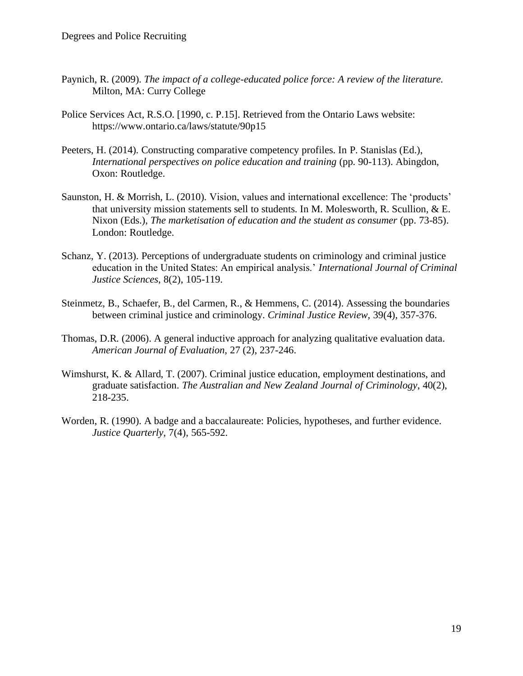- Paynich, R. (2009). *The impact of a college-educated police force: A review of the literature.*  Milton, MA: Curry College
- Police Services Act, R.S.O. [1990, c. P.15]. Retrieved from the Ontario Laws website: https://www.ontario.ca/laws/statute/90p15
- Peeters, H. (2014). Constructing comparative competency profiles. In P. Stanislas (Ed.), *International perspectives on police education and training (pp. 90-113). Abingdon,* Oxon: Routledge.
- Saunston, H. & Morrish, L. (2010). Vision, values and international excellence: The 'products' that university mission statements sell to students. In M. Molesworth, R. Scullion, & E. Nixon (Eds.), *The marketisation of education and the student as consumer* (pp. 73-85). London: Routledge.
- Schanz, Y. (2013). Perceptions of undergraduate students on criminology and criminal justice education in the United States: An empirical analysis.' *International Journal of Criminal Justice Sciences*, 8(2), 105-119.
- Steinmetz, B., Schaefer, B., del Carmen, R., & Hemmens, C. (2014). Assessing the boundaries between criminal justice and criminology. *Criminal Justice Review,* 39(4), 357-376.
- Thomas, D.R. (2006). A general inductive approach for analyzing qualitative evaluation data. *American Journal of Evaluation*, 27 (2), 237-246.
- Wimshurst, K. & Allard, T. (2007). Criminal justice education, employment destinations, and graduate satisfaction. *The Australian and New Zealand Journal of Criminology*, 40(2), 218-235.
- Worden, R. (1990). A badge and a baccalaureate: Policies, hypotheses, and further evidence. *Justice Quarterly*, 7(4), 565-592.